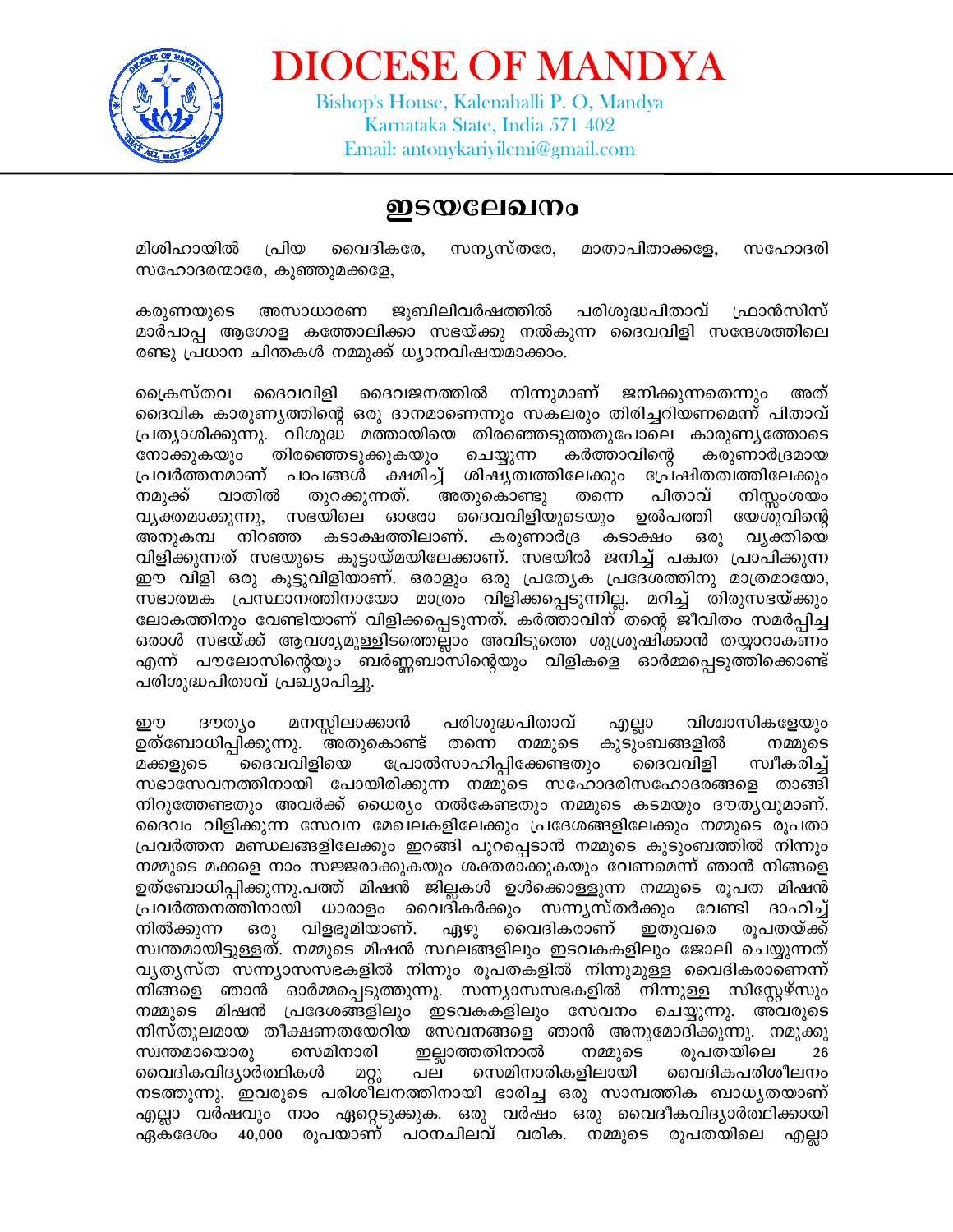

**DIOCESE OF MANDYA** 

Bishop's House, Kalenahalli P. O, Mandya Karnataka State, India 571 402 Email: antonykariyilcmi@gmail.com

## ഇടയലേഖനം

സന്യസ്തരേ, മിശിഹായിൽ പ്രിയ വൈദികരേ, മാതാപിതാക്കളേ, സഹോദരി സഹോദരന്മാരേ, കുഞ്ഞുമക്കളേ,

അസാധാരണ ജൂബിലിവർഷത്തിൽ പരിശുദ്ധപിതാവ് ഫ്രാൻസിസ് കരുണയുടെ മാർപാപ്പ ആഗോള കത്തോലിക്കാ സഭയ്ക്കു നൽകുന്ന ദൈവവിളി സന്ദേശത്തിലെ രണ്ടു പ്രധാന ചിന്തകൾ നമ്മുക്ക് ധ്യാനവിഷയമാക്കാം.

കെസ്തവ ദൈവവിളി ദൈവജനത്തിൽ നിന്നുമാണ് ജനിക്കുന്നതെന്നും അത് ദൈവിക കാരുണ്യത്തിന്റെ ഒരു ദാനമാണെന്നും സകലരും തിരിച്ചറിയണമെന്ന് പിതാവ് പ്രത്യാശിക്കുന്നു. വിശുദ്ധ മത്തായിയെ തിരഞ്ഞെടുത്തതുപോലെ കാരുണ്യത്തോടെ നോക്കുകയും തിരഞ്ഞെടുക്കുകയും ചെയ്യുന്ന കർത്താവിന്റെ കരുണാർദ്രമായ പ്രവർത്തനമാണ് പാപങ്ങൾ ക്ഷമിച് ശിഷ്യത്വത്തിലേക്കും പ്രേഷിതത്വത്തിലേക്കും നമുക്ക് വാതിൽ തുറക്കുന്നത്. അതുകൊണ്ടു തന്നെ പിതാവ് നിസ്സംശയം ദൈവവിളിയുടെയും ഉൽപത്തി വ്യക്തമാക്കുന്നു, സഭയിലെ ഓരോ യേശുവിന്റെ അനുകമ്പ നിറഞ്ഞ കടാക്ഷത്തിലാണ്. കരുണാർദ്ര കടാക്ഷം ഒരു വ്യക്തിയെ വിളിക്കുന്നത് സഭയുടെ കുട്ടായ്മയിലേക്കാണ്. സഭയിൽ ജനിച്ച് പക്വത പ്രാപിക്കുന്ന ഈ വിളി ഒരു കുട്ടുവിളിയാണ്. ഒരാളും ഒരു പ്രത്യേക പ്രദേശത്തിനു മാത്രമായോ, സഭാത്മക പ്രസ്ഥാനത്തിനായോ മാത്രം വിളിക്കപ്പെടുന്നില്ല. മറിച്ച് തിരുസഭയ്ക്കും ലോകത്തിനും വേണ്ടിയാണ് വിളിക്കപ്പെടുന്നത്. കർത്താവിന്്തന്റെ ജീവിതം സമർപിച്ച ഒരാൾ സഭയ്ക്ക് ആവശ്യമുള്ളിടത്തെല്ലാം അവിടുത്തെ ശുശ്രൂഷിക്കാൻ തയ്യാറാക്ണം എന്ന് പൗലോസിന്റെയും ബർണ്ണബാസിന്റെയും വിളികളെ ഓർമ്മപ്പെടുത്തിക്കൊണ്ട് പരിശുദ്ധപിതാവ് പ്രഖ്യാപിച്ചു.

ദൗത്യം മനസ്സിലാക്കാൻ പരിശുദ്ധപിതാവ് എല്ലാ വിശ്വാസികളേയും ഈ അതുകൊണ്ട് തന്നെ നമ്മുടെ കുടുംബങ്ങളിൽ ഉത്ബോധിപ്പിക്കുന്നു. നമ്മുടെ പ്രോൽസാഹിപ്പിക്കേണ്ടതും മക്കളുടെ ദൈവവിളിയെ ദൈവവിളി സ്വീകരിച് സഭാസേവനത്തിനായി പോയിരിക്കുന്ന നമ്മുടെ സഹോദരിസഹോദരങ്ങളെ താങ്ങി നിറുത്തേണ്ടതും അവർക്ക് ധൈര്യം നൽകേണ്ടതും നമ്മുടെ കടമയും ദൗത്യവുമാണ്. ദൈവം വിളിക്കുന്ന സേവന മേഖലകളിലേക്കും പ്രദേശങ്ങളിലേക്കും നമ്മുടെ രൂപതാ പ്രവർത്തന മണ്ഡലങ്ങളിലേക്കും ഇറങ്ങി പുറപ്പെടാൻ നമ്മുടെ കുടുംബത്തിൽ നിന്നും നമ്മുടെ മക്കളെ നാം സജ്ജരാക്കുകയും ശക്തരാക്കുകയും വേണമെന്ന് ഞാൻ നിങ്ങളെ ഉത്ബോധിപ്പിക്കുന്നു.പത്ത് മിഷൻ ജില്ലകൾ ഉൾക്കൊള്ളുന്ന നമ്മുടെ രൂപത മിഷൻ പ്രവർത്തനത്തിനായി ധാരാളം വൈദികർക്കും സന്ന്യസ്തർക്കും വേണ്ടി ദാഹിച്ച് വിളഭൂമിയാണ്. വൈദികരാണ് നിൽക്കുന്ന ഒരു ഏഴു ഇതുവരെ രുപതയ്ക്ക് സ്വന്തമായിട്ടുള്ളത്. നമ്മുടെ മിഷൻ സ്ഥലങ്ങളിലും ഇടവകകളിലും ജോലി ചെയ്യുന്നത് വ്യത്യസ്ത സന്ന്യാസസഭകളിൽ നിന്നും രൂപതകളിൽ നിന്നുമുള്ള വൈദികരാണെന്ന് നിങ്ങളെ ഞാൻ ഓർമ്മപ്പെടുത്തുന്നു. സന്ന്യാസസഭകളിൽ നിന്നുള്ള സിസ്റ്റേഴ്സും നമ്മുടെ മിഷൻ പ്രദേശങ്ങളിലും ഇടവകകളിലും സേവനം ചെയ്യുന്നു. അവരുടെ നിസ്തുലമായ തീക്ഷണതയേറിയ സേവനങ്ങളെ ഞാൻ അനുമോദിക്കുന്നു. നമുക്കു സ്വന്തമായൊരു സെമിനാരി ഇല്ലാത്തതിനാൽ നമ്മുടെ രുപതയിലെ 26 വൈദികവിദ്യാർത്ഥികൾ പല സെമിനാരികളിലായി വൈദികപരിശീലനം മറ്റു നടത്തുന്നു. ഇവരുടെ പരിശീലനത്തിനായി ഭാരിച്ച ഒരു സാമ്പത്തിക ബാധൃതയാണ് എല്ലാ വർഷവും നാം ഏറ്റെടുക്കുക. ഒരു വർഷം ഒരു വൈദീകവിദ്യാർത്ഥിക്കായി ഏകദേശം 40,000 രൂപയാണ് പഠനചിലവ് വരിക. നമ്മുടെ രൂപതയിലെ എല്ലാ